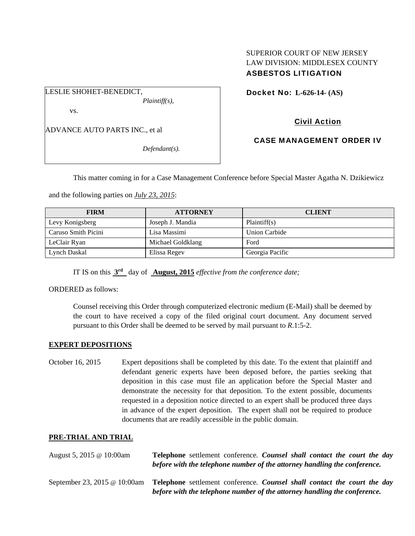### SUPERIOR COURT OF NEW JERSEY LAW DIVISION: MIDDLESEX COUNTY ASBESTOS LITIGATION

LESLIE SHOHET-BENEDICT,

*Plaintiff(s),* 

vs.

ADVANCE AUTO PARTS INC., et al

*Defendant(s).* 

Docket No: **L-626-14- (AS)** 

# Civil Action

CASE MANAGEMENT ORDER IV

This matter coming in for a Case Management Conference before Special Master Agatha N. Dzikiewicz

and the following parties on *July 23, 2015*:

| <b>FIRM</b>         | <b>ATTORNEY</b>   | <b>CLIENT</b>   |
|---------------------|-------------------|-----------------|
| Levy Konigsberg     | Joseph J. Mandia  | Plaintiff(s)    |
| Caruso Smith Picini | Lisa Massimi      | Union Carbide   |
| LeClair Ryan        | Michael Goldklang | Ford            |
| Lynch Daskal        | Elissa Regev      | Georgia Pacific |

IT IS on this **3rd** day of **August, 2015** *effective from the conference date;*

ORDERED as follows:

Counsel receiving this Order through computerized electronic medium (E-Mail) shall be deemed by the court to have received a copy of the filed original court document. Any document served pursuant to this Order shall be deemed to be served by mail pursuant to *R*.1:5-2.

#### **EXPERT DEPOSITIONS**

October 16, 2015 Expert depositions shall be completed by this date. To the extent that plaintiff and defendant generic experts have been deposed before, the parties seeking that deposition in this case must file an application before the Special Master and demonstrate the necessity for that deposition. To the extent possible, documents requested in a deposition notice directed to an expert shall be produced three days in advance of the expert deposition. The expert shall not be required to produce documents that are readily accessible in the public domain.

#### **PRE-TRIAL AND TRIAL**

| August 5, 2015 @ 10:00am     | Telephone settlement conference. Counsel shall contact the court the day<br>before with the telephone number of the attorney handling the conference. |
|------------------------------|-------------------------------------------------------------------------------------------------------------------------------------------------------|
| September 23, 2015 @ 10:00am | Telephone settlement conference. Counsel shall contact the court the day<br>before with the telephone number of the attorney handling the conference. |